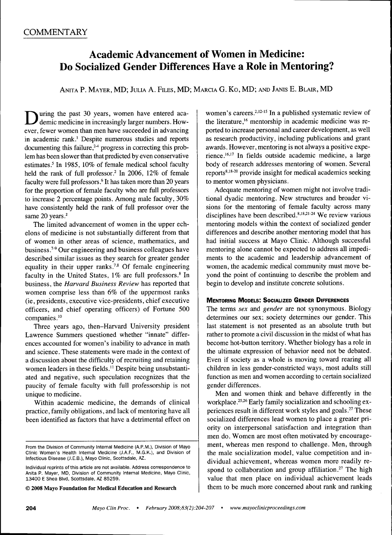## COMMENTARY

# **Academic Advancement of Women in Medicine: Do Socialized Gender Differences Have a Role in Mentoring?**

ANITA P. MAYER, MD; JULIA A. FILES, MD; MARCIA G . KO, MD; AND JANIS E . BLAIR, MD

During the past 30 years, women have entered aca-<br>demic medicine in increasingly larger numbers. How-<br>ever, fewer women than men have succeeded in advancing uring the past 30 years, women have entered academic medicine in increasingly larger numbers. Howin academic rank.' Despite numerous studies and reports documenting this failure, $2<sup>4</sup>$  progress in correcting this problem has been slower than that predicted by even conservative estimates.<sup>5</sup> In 1985, 10% of female medical school faculty held the rank of full professor.<sup>2</sup> In 2006, 12% of female faculty were full professors.<sup>6</sup> It has taken more than 20 years for the proportion of female faculty who are full professors to increase 2 percentage points. Among male faculty, 30% have consistently held the rank of full professor over the same 20 years.<sup>2</sup>

The limited advancement of women in the upper echelons of medicine is not substantially different from that of women in other areas of science, mathematics, and business.<sup>7-9</sup> Our engineering and business colleagues have described similar issues as they search for greater gender equality in their upper ranks.<sup>7,8</sup> Of female engineering faculty in the United States, 1% are full professors.\* In business, the *Harvard Business Review* has reported that women comprise less than 6% of the uppermost ranks (ie, presidents, executive vice-presidents, chief executive officers, and chief operating officers) of Fortune 500 companies.<sup>10</sup>

Three years ago, then-Harvard University president Lawrence Summers questioned whether "innate" differences accounted for women's inability to advance in math and science. These statements were made in the context of a discussion about the difficulty of recruiting and retaining women leaders in these fields.<sup>11</sup> Despite being unsubstantiated and negative, such speculation recognizes that the paucity of female faculty with full professorship is not unique to medicine.

Within academic medicine, the demands of clinical practice, family obligations, and lack of mentoring have all been identified as factors that have a detrimental effect on

© **2008 Mayo Foundation for Medical Education and Research**

women's careers.<sup>2,12-15</sup> In a published systematic review of the literature,<sup>16</sup> mentorship in academic medicine was reported to increase personal and career development, as well as research productivity, including publications and grant awards. However, mentoring is not always a positive experience.<sup>16,17</sup> In fields outside academic medicine, a large body of research addresses mentoring of women. Several reports<sup>8,18-20</sup> provide insight for medical academics seeking to mentor women physicians.

Adequate mentoring of women might not involve traditional dyadic mentoring. New structures and broader visions for the mentoring of female faculty across many disciplines have been described. $8,18,21-24$  We review various mentoring models within the context of socialized gender differences and describe another mentoring model that has had initial success at Mayo Clinic. Although successful mentoring alone cannot be expected to address all impediments to the academic and leadership advancement of women, the academic medical community must move beyond the point of continuing to describe the problem and begin to develop and institute concrete solutions.

#### **MENTORING MODELS: SOCIALIZED GENDER DIFFERENCES**

The terms *sex* and *gender* are not synonymous. Biology determines our sex; society determines our gender. This last statement is not presented as an absolute truth but rather to promote a civil discussion in the midst of what has become hot-button territory. Whether biology has a role in the ultimate expression of behavior need not be debated. Even if society as a whole is moving toward rearing all children in less gender-constricted ways, most adults still function as men and women according to certain socialized gender differences.

Men and women think and behave differently in the workplace.<sup>25,26</sup> Early family socialization and schooling experiences result in different work styles and goals.<sup>27</sup> These socialized differences lead women to place a greater priority on interpersonal satisfaction and integration than men do. Women are most often motivated by encouragement, whereas men respond to challenge. Men, through the male socialization model, value competition and individual achievement, whereas women more readily respond to collaboration and group affiliation.<sup>27</sup> The high value that men place on individual achievement leads them to be much more concerned about rank and ranking

From the Division of Community Internal Medicine (A.P.M.), Division of Mayo Clinic Women's Health Internal Medicine (J.A.F., M.G.K.), and Division of Infectious Disease (J.E.B.), Mayo Clinic, Scottsdale, AZ.

Individual reprints of this article are not available. Address correspondence to Anita P. Mayer, MD, Division of Community Internal Medicine, Mayo Clinic, 13400 E Shea Blvd, Scottsdale, AZ 85259.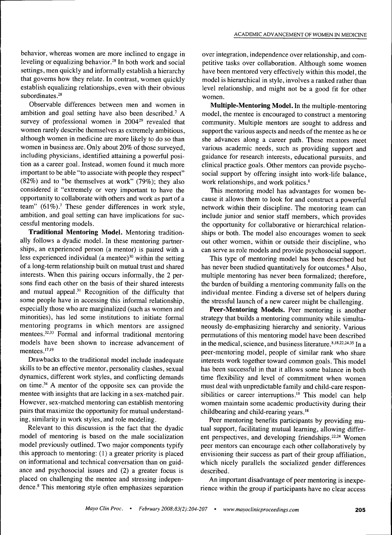behavior, whereas women are more inclined to engage in leveling or equalizing behavior.<sup>28</sup> In both work and social settings, men quickly and informally establish a hierarchy that governs how they relate. In contrast, women quickly establish equalizing relationships, even with their obvious subordinates.<sup>28</sup>

Observable differences between men and women in ambition and goal setting have also been described.' A survey of professional women in  $2004^{29}$  revealed that women rarely describe themselves as extremely ambitious, although women in medicine are more likely to do so than women in business are. Only about 20% of those surveyed, including physicians, identified attaining a powerful position as a career goal. Instead, women found it much more important to be able "to associate with people they respect" (82%) and to "be themselves at work" (79%); they also considered it "extremely or very important to have the opportunity to collaborate with others and work as part of a team" (61%).' These gender differences in work style, ambition, and goal setting can have implications for successful mentoring models.

**Traditional Mentoring Model.** Mentoring traditionally follows a dyadic model. In these mentoring partnerships, an experienced person (a mentor) is paired with a less experienced individual (a mentee) $^{30}$  within the setting of a long-term relationship built on mutual trust and shared interests. When this pairing occurs informally, the 2 persons find each other on the basis of their shared interests and mutual appeal. $31$  Recognition of the difficulty that some people have in accessing this informal relationship, especially those who are marginalized (such as women and minorities), has led some institutions to initiate formal mentoring programs in which mentors are assigned mentees. $32,33$  Formal and informal traditional mentoring models have been shown to increase advancement of mentees.<sup>17,19</sup>

Drawbacks to the traditional model include inadequate skills to be an effective mentor, personality clashes, sexual dynamics, different work styles, and conflicting demands on time. $34$  A mentor of the opposite sex can provide the mentee with insights that are lacking in a sex-matched pair. However, sex-matched mentoring can establish mentoring pairs that maximize the opportunity for mutual understanding, similarity in work styles, and role modeling.

Relevant to this discussion is the fact that the dyadic model of mentoring is based on the male socialization model previously outlined. Two major components typify this approach to mentoring: (1) a greater priority is placed on informational and technical conversation than on guidance and psychosocial issues and (2) a greater focus is placed on challenging the mentee and stressing independence.\* This mentoring style often emphasizes separation

over integration, independence over relationship, and competitive tasks over collaboration. Although some women have been mentored very effectively within this model, the model is hierarchical in style, involves a ranked rather than level relationship, and might not be a good fit for other women.

**Multiple-Mentoring Model.** In the multiple-mentoring model, the mentee is encouraged to construct a mentoring community. Multiple mentors are sought to address and support the various aspects and needs of the mentee as he or she advances along a career path. These mentors meet various academic needs, such as providing support and guidance for research interests, educational pursuits, and clinical practice goals. Other mentors can provide psychosocial support by offering insight into work-life balance, work relationships, and work politics.<sup>8</sup>

This mentoring model has advantages for women because it allows them to look for and construct a powerful network within their discipline. The mentoring team can include junior and senior staff members, which provides the opportunity for collaborative or hierarchical relationships or both. The model also encourages women to seek out other women, within or outside their discipline, who can serve as role models and provide psychosocial support.

This type of mentoring model has been described but has never been studied quantitatively for outcomes.<sup>8</sup> Also, multiple mentoring has never been formalized; therefore, the burden of building a mentoring community falls on the individual mentee. Finding a diverse set of helpers during the stressful launch of a new career might be challenging.

**Peer-Mentoring Models.** Peer mentoring is another strategy that builds a mentoring community while simultaneously de-emphasizing hierarchy and seniority. Various permutations of this mentoring model have been described in the medical, science, and business literature. $8,18,22,24,35$  In a peer-mentoring model, people of similar rank who share interests work together toward common goals. This model has been successful in that it allows some balance in both time flexibility and level of commitment when women must deal with unpredictable family and child-care responsibilities or career interruptions.<sup>18</sup> This model can help women maintain some academic productivity during their childbearing and child-rearing years.'\*

Peer mentoring benefits participants by providing mutual support, facilitating mutual learning, allowing different perspectives, and developing friendships.<sup>22,24</sup> Women peer mentors can encourage each other collaboratively by envisioning their success as part of their group affiliation, which nicely parallels the socialized gender differences described.

An important disadvantage of peer mentoring is inexperience within the group if participants have no clear access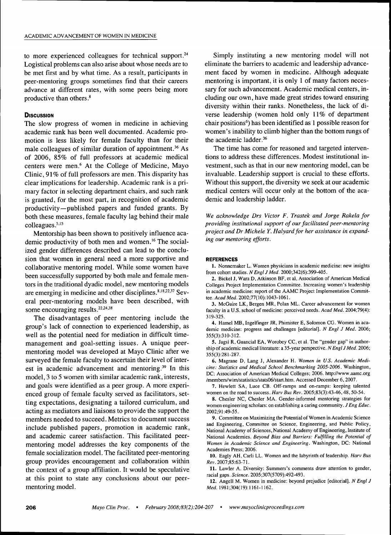to more experienced colleagues for technical support. $24$ Logistical problems can also arise about whose needs are to be met first and by what time. As a result, participants in peer-mentoring groups sometimes find that their careers advance at different rates, with some peers being more productive than others.\*

### **DISCUSSION**

The slow progress of women in medicine in achieving academic rank has been well documented. Academic promotion is less likely for female faculty than for their male colleagues of similar duration of appointment.<sup>36</sup> As of 2006, 85% of full professors at academic medical centers were men.\* At the College of Medicine, Mayo Clinic, 91% of full professors are men. This disparity has clear implications for leadership. Academic rank is a primary factor in selecting department chairs, and such rank is granted, for the most part, in recognition of academic productivity—published papers and funded grants. By both these measures, female faculty lag behind their male colleagues.<sup>5,15</sup>

Mentorship has been shown to positively influence academic productivity of both men and women.<sup>16</sup> The socialized gender differences described can lead to the conclusion that women in general need a more supportive and collaborative mentoring model. While some women have been successfully supported by both male and female mentors in the traditional dyadic model, new mentoring models are emerging in medicine and other disciplines. $8.18,22.37$  Several peer-mentoring models have been described, with some encouraging results. $22.24.38$ 

The disadvantages of peer mentoring include the group's lack of connection to experienced leadership, as well as the potential need for mediation in difficult timemanagement and goal-setting issues. A unique peermentoring model was developed at Mayo Clinic after we surveyed the female faculty to ascertain their level of interest in academic advancement and mentoring.<sup>39</sup> In this model, 3 to 5 women with similar academic rank, interests, and goals were identified as a peer group. A more experienced group of female faculty served as facilitators, setting expectations, designating a tailored curriculum, and acting as mediators and liaisons to provide the support the members needed to succeed. Metrics to document success include published papers, promotion in academic rank, and academic career satisfaction. This facilitated peermentoring model addresses the key components of the female socialization model. The facilitated peer-mentoring group provides encouragement and collaboration within the context of a group affiliation. It would be speculative at this point to state any conclusions about our peermentoring model.

Simply instituting a new mentoring model will not eliminate the barriers to academic and leadership advancement faced by women in medicine. Although adequate mentoring is important, it is only 1 of many factors necessary for such advancement. Academic medical centers, including our own, have made great strides toward ensuring diversity within their ranks. Nonetheless, the lack of diverse leadership (women hold only 11% of department chair positions\*) has been identified as 1 possible reason for women's inability to climb higher than the bottom rungs of the academic ladder.<sup>36</sup>

The time has come for reasoned and targeted interventions to address these differences. Modest institutional investment, such as that in our new mentoring model, can be invaluable. Leadership support is crucial to these efforts. Without this support, the diversity we seek at our academic medical centers will occur only at the bottom of the academic and leadership ladder.

We *acknowledge Drs Victor F. Trastek and Jorge Rakela for providing institutional support of our facilitated peer-mentoring project and Dr Michele Y. Halyard for her assistance in expanding our mentoring efforts.*

#### **REFERENCES**

1. Nonnemaker L. Women pbysicians in academic medicine: new insigbts from cohort studies. *N Engi J Med.* 2000;342(6):399-405.

2. Bickel J, Wara D, Atkinson BF, et al. Association of American Medical Colleges Project Implementation Committee. Increasing women's leadership in academic medicine: report of the AAMC Project Implementation Committee. *Acad Med.* 2002;77( 10): 1043-1061.

3. McGuire LK, Bergen MR, Polan ML. Career advancement for women faculty in a U.S. school of medicine: perceived needs. *Acad Med.* 2004;79(4): 319-325.

4. Hamel MB, Ingelfinger JR, Phimister E, Solomon CG. Women in academic medicine: progress and challenges [editorial]. *N Engi J Med.* 2006; 355(3):310-312.

5. Jagsi R, Guancial EA. Worobey CC, et al. The "gender gap" in authorship of academic medical literature: a 35-year perspective. *NEngiJ Med.* 2006; 355(3):281-287.

6. Magrane D, Lang J, Alexander H. *Women in U.S. Academic Medicine: Statistics and Medicai School Benchmaricing 2005-2006.* Washington, DC: Association of American Medical Colleges; 2006. http://www.aamc.org /members/wim/statistics/statsO6/start.htm. Accessed December 6,2007.

7. Hewlett SA, Luce CB. Off-ramps and on-ramps: keeping talented women on the road to success. *Harv Bus Rev.* 2005;83(3):43-46,48,50-54.

8. Chesler NC, Chesler MA. Gender-informed mentoring strategies for women engineering scholars: on establishing a caring community. *JEng Educ.* 2002;91:49-55.

9. Committee on Maximizing the Potential of Women in Academic Science and Engineering, Committee on Science, Engineering, and Public Policy, National Academy of Sciences, National Academy of Engineering, Institute of National Academies. *Beyond Bias and Barriers: Fulfilling the Potential of Women in Academic Science and Engineering.* Washington, DC: National Academies Press; 2006.

10. Eagly AH, Carli LL. Women and the labyrinth of leadership. *Harv Bus* /fev.2007;85:63-71.

11. Lawler A. Diversity: Summers's comments draw attention to gender, racial gaps. *Science.* 2005;307(5709):492-493.

12. Angell M. Women in medicine: beyond prejudice [editorial]. *N Engi J Med.* 1981;304(19):l 161-1162.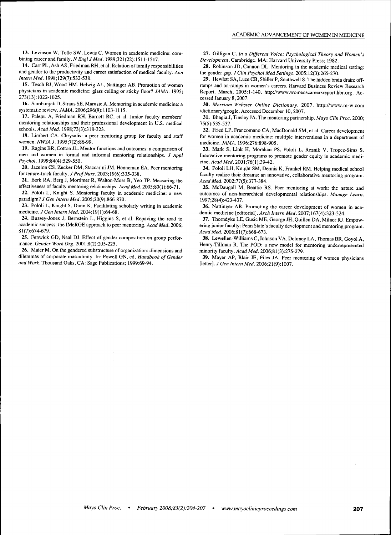13. Levinson W, Tolle SW, Lewis C. Women in academic medicine: combining career and *family. N Engl J Med.* 1989;321(22):1511-1517.

14. Carr PL, Ash AS, Friedman RH, et al. Relation of family responsibilities and gender to the productivity and career satisfaction of medical faculty. *Ann Intern Med.* 1998;129(7):532-538.

15. Tesch BJ, Wood HM, Helwig AL, Nattinger AB. Promotion of women physicians in academic medicine: glass ceiling or sticky floor? *JAMA.* 1995; 273(13):1022-1025.

16. Sambunjak D, Straus SE, Marusic A. Mentoring in academic medicine: a systematic review. *JAMA.* 2006;296(9): 1103-1115.

17. Palepu A, Friedman RH, Barnett RC, et al. Junior faculty members' mentoring relationships and their professional development in U.S. medical schools. *Acad Med.* 1998;73(3):318-323.

18. Limbert CA, Chrysalis: a peer mentoring group for faculty and staff women. NWSA J. 1995;7(2):86-99.

19. Ragins BR, Cotton JL. Mentor functions and outcomes: a comparison of men and women in formal and informal mentoring relationships. *J Appl Psychol.* 1999;84(4):529-550.

20. Jacelon CS, Zucker DM, Staccarini JM, Henneman EA. Peer mentoring for tenure-track *faculty. J Prof Nurs.* 2003;19(6):335-338.

21. Berk RA, Berg J, Mortimer R, Walton-Moss B, Yeo TP. Measuring the effectiveness of faculty mentoring relationships. *Acad Med.* 2005;80(l):66-71.

22. Pololi L, Knight S. Mentoring faculty in academic medicine: a new paradigm? *J Gen Intern Med.* 2005;20(9):866-870.

23. Pololi L, Knight S, Dunn K. Facilitating scholarly writing in academic medicine. *J Gen Intern Med.* 2004;19(l):64-68.

24. Bussey-Jones J, Bemstein L, Higgins S, et al. Repaving the road to academic success: the IMeRGE approach to peer mentoring. *Acad Med.* 2006; 81(7):674-679.

25. Fenwick GD, Neal DJ. Effect of gender composition on group performance. *Gender Work Org.* 2001;8(2):205-225.

26. Maier M. On the gendered substructure of organization: dimensions and dilemmas of corporate masculinity. In: Powell GN, ed. *Handbook of Gender and Work.* Thousand Oaks, CA: Sage Publications; 1999:69-94.

27. Gilligan C. *In a Different Voice: Psychological Theory and Women's Development.* Cambridge, MA: Harvard University Press; 1982.

28. Robinson JD, Cannon DL. Mentoring in the academic medical setting: the gender gap. *J Clin Psychol Med Settings.* 2005;12(3):265-270.

29. Hewlett SA, Luce CB, Shiller P, Southwell S. The hidden brain drain: offramps and on-ramps in women's careers. Harvard Business Review Research Report. March, 2005:1-140. http://www.womenscareersreport.hbr.org. Accessed January 8,2007.

30. *Merriam-Webster Online Dictionary.* 2007. http://www.m-w.com /dictionary/google. Accessed December 10,2007.

31. Bhagia J, Tinsley JA. The mentoring partnership. *Mayo Clin Proc.* 2000; 75(5):535-537.

32. Fried LP, Francomano CA, MacDonald SM, et al. Career development for women in academic medicine: multiple interventions in a department of medicine. JAMA. 1996;276:898-905.

33. Mark S, Link H, Morahan PS, Pololi L, Reznik V, Tropez-Sims S. Innovative mentoring programs to promote gender equity in academic medicine. *Acad Med.* 2001;76(l):39-42.

34. Pololi LH, Knight SM, Dennis K, Frankel RM. Helping medical school faculty realize their dreams: an innovative, collaborative mentoring program. *Acad Med.* 2002;77(5):377-384.

35. McDaugall M, Beattie RS. Peer mentoring at work: the nature and outcomes of non-hierarchical developmental relationships. *Manage Learn.* 1997;28(4):423-437.

36. Nattinger AB. Promoting the career development of women in academic medicine [editorial]. *Arch Intern Med.* 2007;167(4):323-324.

37. Thomdyke LE, Gusic ME, George JH, Quillen DA, Milner RJ. Empowering junior faculty: Penn State's faculty development and mentoring program. *Acad Med.* 2006;81(7):668-673.

38. Lewellen-Williams C, Johnson VA, Deloney LA, Thomas BR, Goyol A, Henry-Tillman R. The POD: a new model for mentoring underrepresented minority faculty. Acad Med. 2006;81(3):275-279.

39. Mayer AP, Blair JE, Files JA. Peer mentoring of women physicians [letter]. / *Gen Intern Med.* 2006;21(9): 1007.